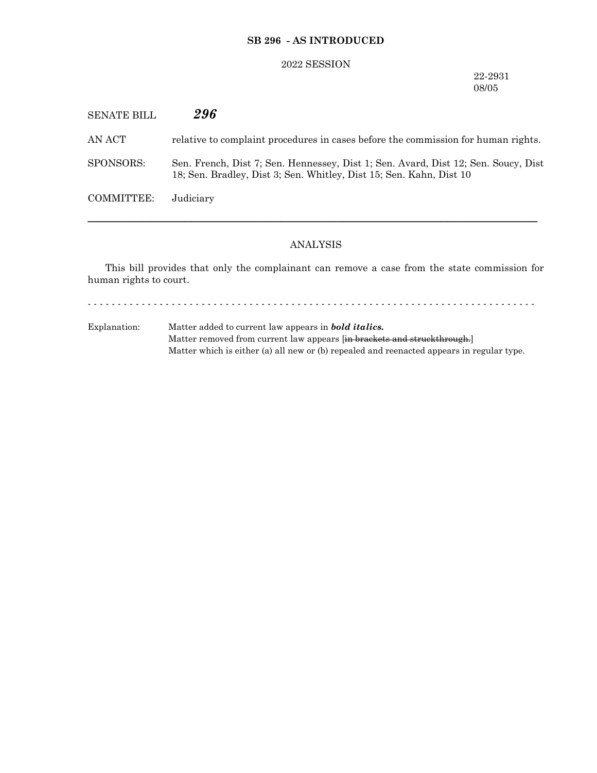## **SB 296 - AS INTRODUCED**

## 2022 SESSION

22-2931 08/05

| <b>SENATE BILL</b> | 296                                                                                                                                                       |
|--------------------|-----------------------------------------------------------------------------------------------------------------------------------------------------------|
| AN ACT-            | relative to complaint procedures in cases before the commission for human rights.                                                                         |
| SPONSORS:          | Sen. French, Dist 7; Sen. Hennessey, Dist 1; Sen. Avard, Dist 12; Sen. Soucy, Dist<br>18; Sen. Bradley, Dist 3; Sen. Whitley, Dist 15; Sen. Kahn, Dist 10 |
| COMMITTEE:         | Judiciary                                                                                                                                                 |
|                    |                                                                                                                                                           |

# ANALYSIS

─────────────────────────────────────────────────────────────────

This bill provides that only the complainant can remove a case from the state commission for human rights to court.

- - - - - - - - - - - - - - - - - - - - - - - - - - - - - - - - - - - - - - - - - - - - - - - - - - - - - - - - - - - - - - - - - - - - - - - - - - -

Explanation: Matter added to current law appears in *bold italics.* Matter removed from current law appears [in brackets and struckthrough.] Matter which is either (a) all new or (b) repealed and reenacted appears in regular type.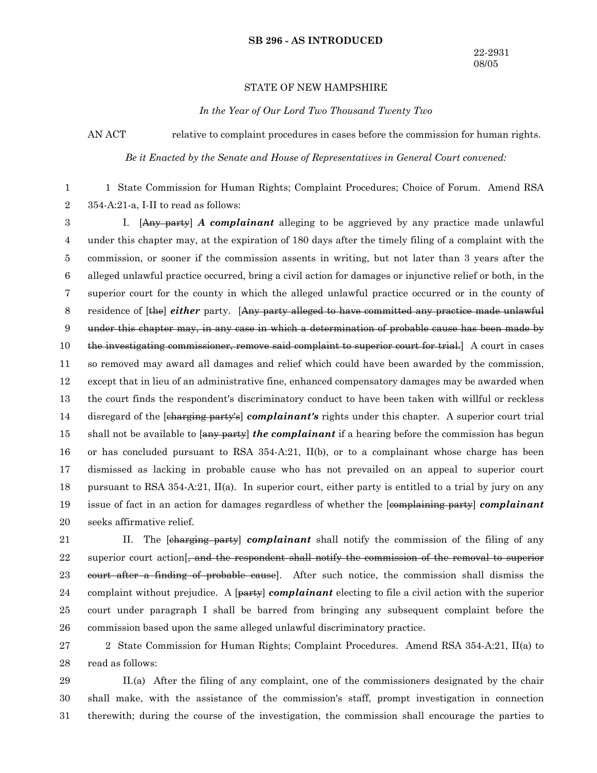#### **SB 296 - AS INTRODUCED**

### STATE OF NEW HAMPSHIRE

*In the Year of Our Lord Two Thousand Twenty Two*

AN ACT relative to complaint procedures in cases before the commission for human rights.

*Be it Enacted by the Senate and House of Representatives in General Court convened:*

1 State Commission for Human Rights; Complaint Procedures; Choice of Forum. Amend RSA 354-A:21-a, I-II to read as follows: 1 2

I. [Any party] *A complainant* alleging to be aggrieved by any practice made unlawful under this chapter may, at the expiration of 180 days after the timely filing of a complaint with the commission, or sooner if the commission assents in writing, but not later than 3 years after the alleged unlawful practice occurred, bring a civil action for damages or injunctive relief or both, in the superior court for the county in which the alleged unlawful practice occurred or in the county of residence of [the] *either* party. [Any party alleged to have committed any practice made unlawful under this chapter may, in any case in which a determination of probable cause has been made by the investigating commissioner, remove said complaint to superior court for trial.] A court in cases so removed may award all damages and relief which could have been awarded by the commission, except that in lieu of an administrative fine, enhanced compensatory damages may be awarded when the court finds the respondent's discriminatory conduct to have been taken with willful or reckless disregard of the [charging party's] *complainant's* rights under this chapter. A superior court trial shall not be available to [any party] *the complainant* if a hearing before the commission has begun or has concluded pursuant to RSA  $354-A:21$ , II(b), or to a complainant whose charge has been dismissed as lacking in probable cause who has not prevailed on an appeal to superior court pursuant to RSA 354-A:21, II(a). In superior court, either party is entitled to a trial by jury on any issue of fact in an action for damages regardless of whether the [complaining party] *complainant* seeks affirmative relief. 3 4 5 6 7 8 9 10 11 12 13 14 15 16 17 18 19 20

II. The [charging party] *complainant* shall notify the commission of the filing of any superior court action<sup>[</sup>, and the respondent shall notify the commission of the removal to superior court after a finding of probable cause]. After such notice, the commission shall dismiss the complaint without prejudice. A [party] *complainant* electing to file a civil action with the superior court under paragraph I shall be barred from bringing any subsequent complaint before the commission based upon the same alleged unlawful discriminatory practice. 21 22 23 24 25 26

2 State Commission for Human Rights; Complaint Procedures. Amend RSA 354-A:21, II(a) to read as follows: 27 28

II.(a) After the filing of any complaint, one of the commissioners designated by the chair shall make, with the assistance of the commission's staff, prompt investigation in connection therewith; during the course of the investigation, the commission shall encourage the parties to 29 30 31